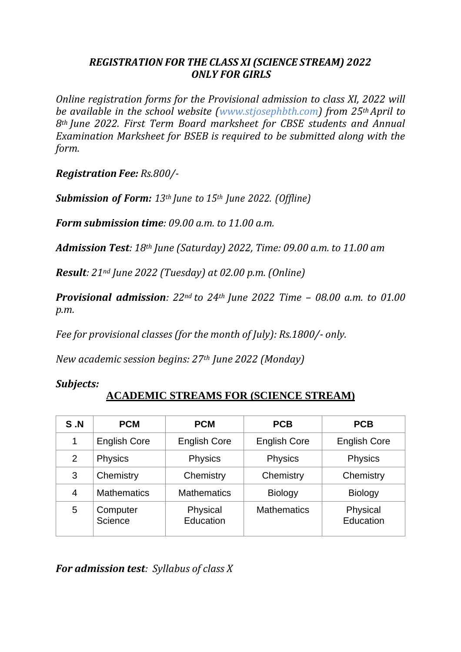## *REGISTRATION FOR THE CLASS XI(SCIENCE STREAM) 2022 ONLY FOR GIRLS*

*Online registration forms for the Provisional admission to class XI, 2022 will be available in the school website (www.stjosephbth.com) from 25thApril to 8th June 2022. First Term Board marksheet for CBSE students and Annual Examination Marksheet for BSEB is required to be submitted along with the form.*

*Registration Fee: Rs.800/-*

*Submission of Form: 13th June to 15th June 2022. (Offline)*

*Form submission time: 09.00 a.m. to 11.00 a.m.*

*Admission Test: 18th June (Saturday) 2022, Time: 09.00 a.m. to 11.00 am*

*Result: 21nd June 2022 (Tuesday) at 02.00 p.m. (Online)*

*Provisional admission: 22nd to 24th June 2022 Time – 08.00 a.m. to 01.00 p.m.*

*Fee for provisional classes (for the month of July): Rs.1800/- only.*

*New academic session begins: 27th June 2022 (Monday)*

*Subjects:*

## **ACADEMIC STREAMS FOR (SCIENCE STREAM)**

| S.N            | <b>PCM</b>          | <b>PCM</b>            | <b>PCB</b>          | <b>PCB</b>            |
|----------------|---------------------|-----------------------|---------------------|-----------------------|
| 1              | <b>English Core</b> | <b>English Core</b>   | <b>English Core</b> | <b>English Core</b>   |
| $\overline{2}$ | Physics             | <b>Physics</b>        | <b>Physics</b>      | <b>Physics</b>        |
| 3              | Chemistry           | Chemistry             | Chemistry           | Chemistry             |
| 4              | <b>Mathematics</b>  | <b>Mathematics</b>    | <b>Biology</b>      | <b>Biology</b>        |
| 5              | Computer<br>Science | Physical<br>Education | <b>Mathematics</b>  | Physical<br>Education |

*For admission test: Syllabus of class X*